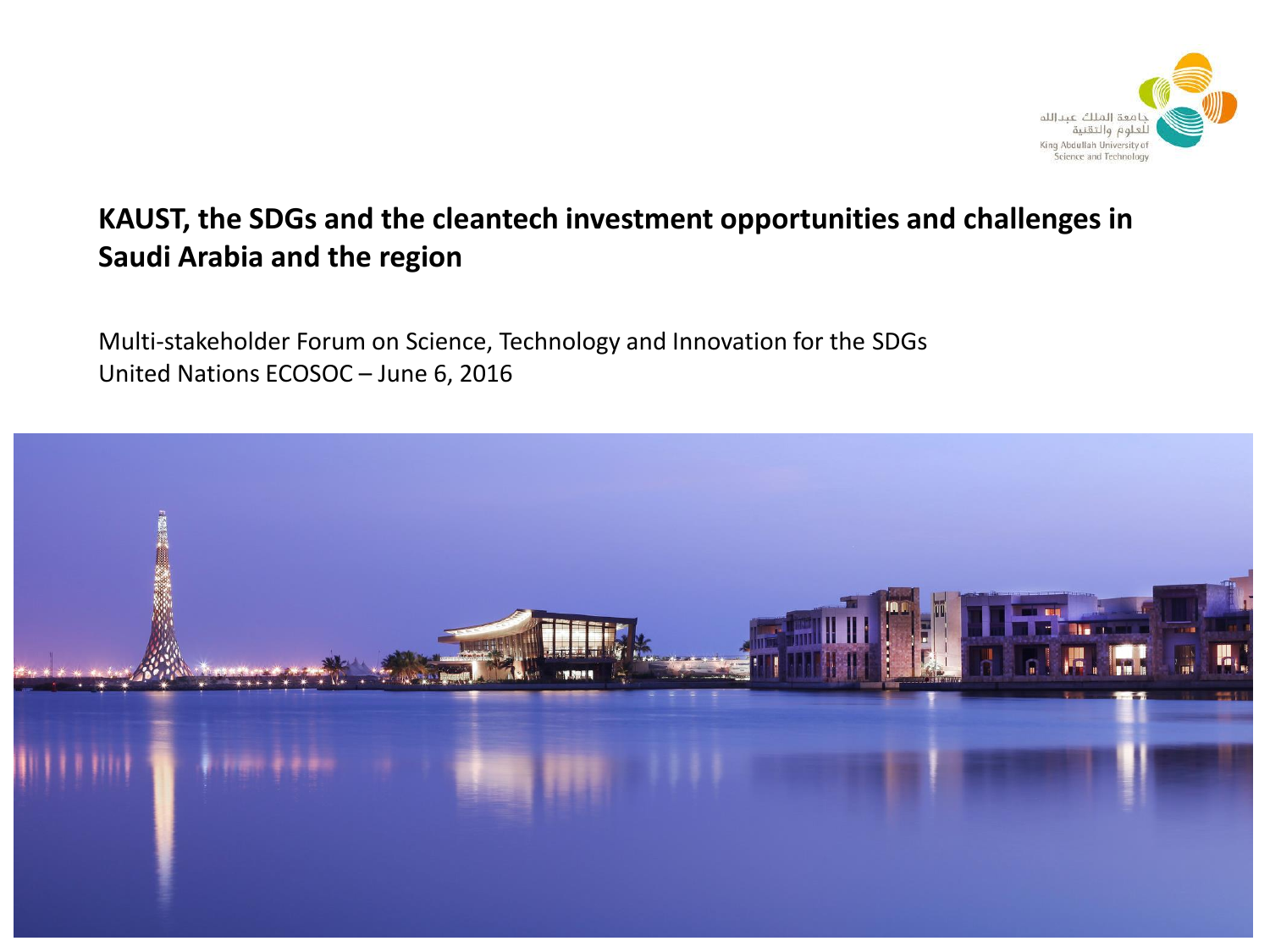

#### **KAUST, the SDGs and the cleantech investment opportunities and challenges in Saudi Arabia and the region**

Multi-stakeholder Forum on Science, Technology and Innovation for the SDGs United Nations ECOSOC – June 6, 2016

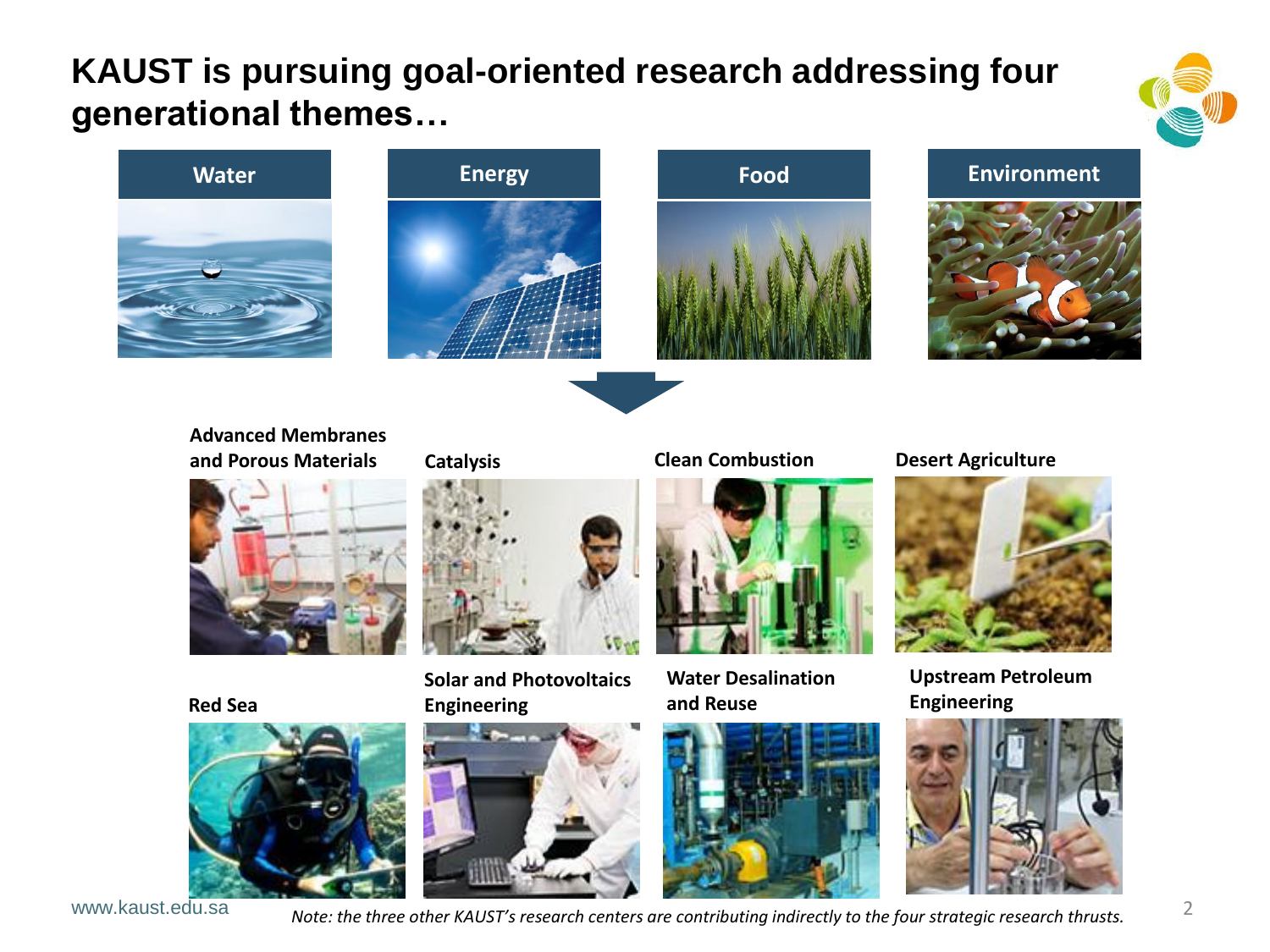# **KAUST is pursuing goal-oriented research addressing four generational themes…**











**Advanced Membranes and Porous Materials Catalysis Catalysis Clean Combustion Desert Agriculture** 



**Red Sea**



www.kaust.edu.sa

**Catalysis**



**Solar and Photovoltaics Engineering**





**Water Desalination and Reuse**





**Upstream Petroleum Engineering**

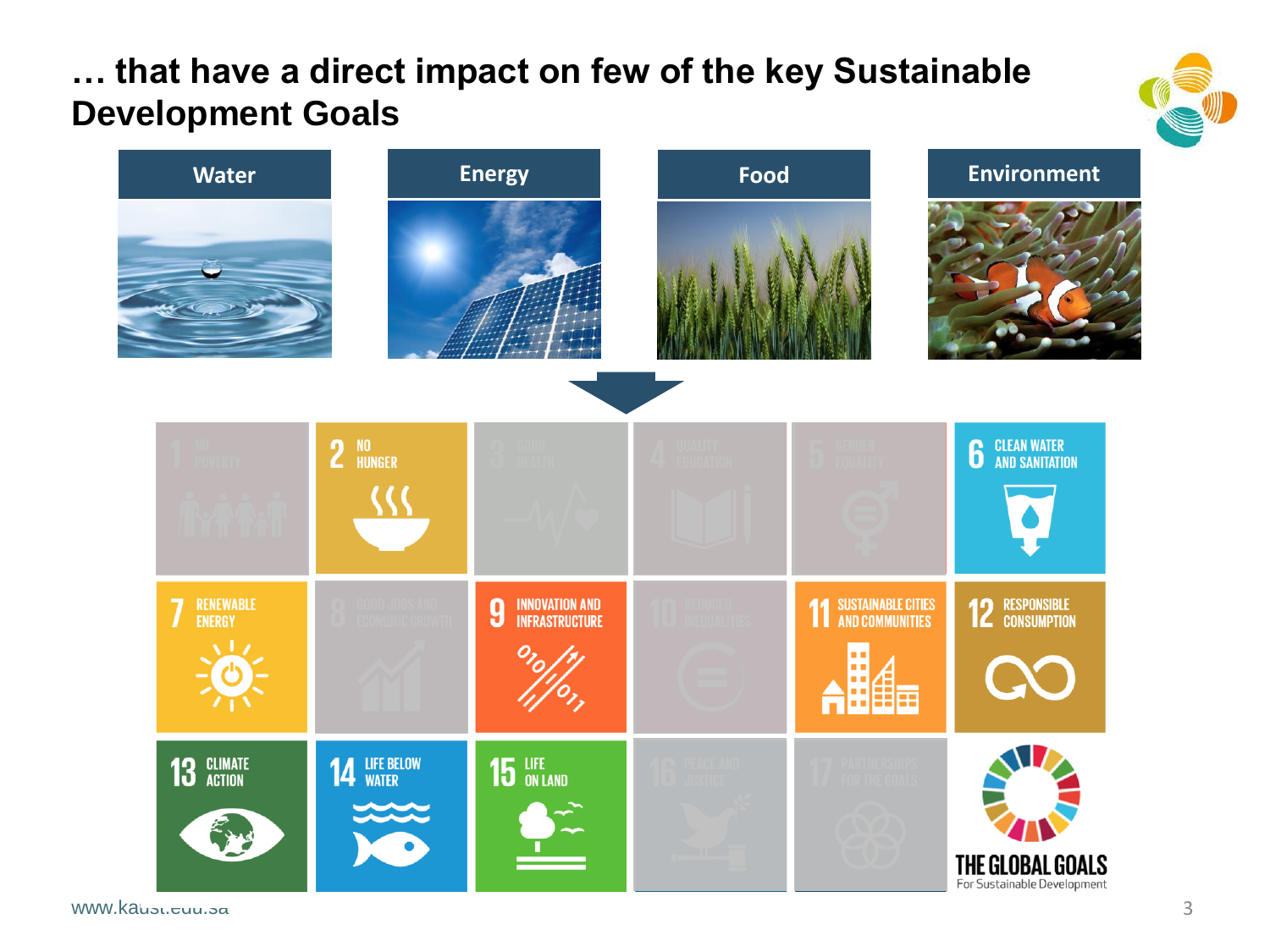### **… that have a direct impact on few of the key Sustainable Development Goals**





www.kausu.<del>c</del>uu.sa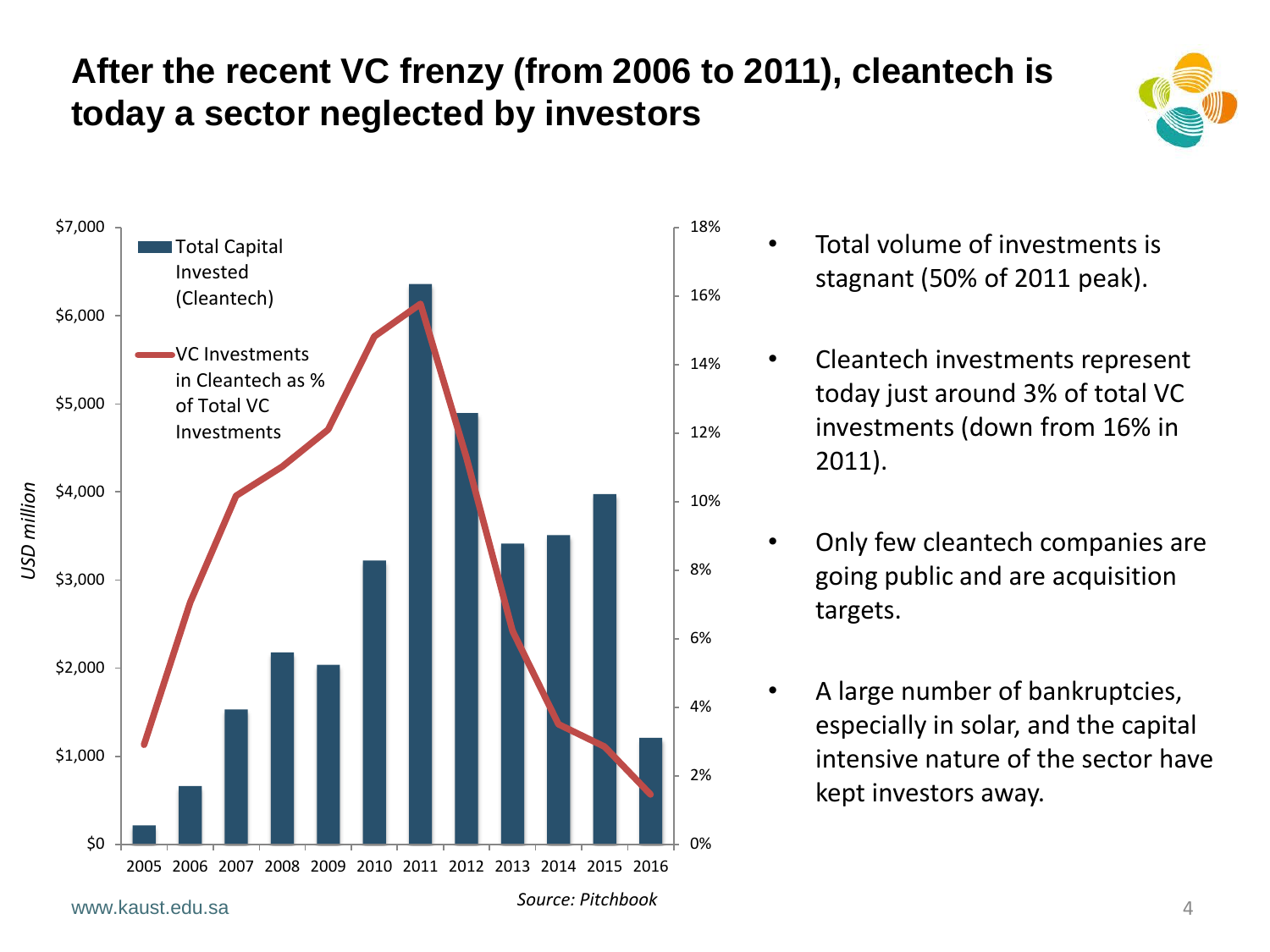# **After the recent VC frenzy (from 2006 to 2011), cleantech is today a sector neglected by investors**





- Total volume of investments is stagnant (50% of 2011 peak).
- Cleantech investments represent today just around 3% of total VC investments (down from 16% in 2011).
	- Only few cleantech companies are going public and are acquisition targets.
	- A large number of bankruptcies, especially in solar, and the capital intensive nature of the sector have kept investors away.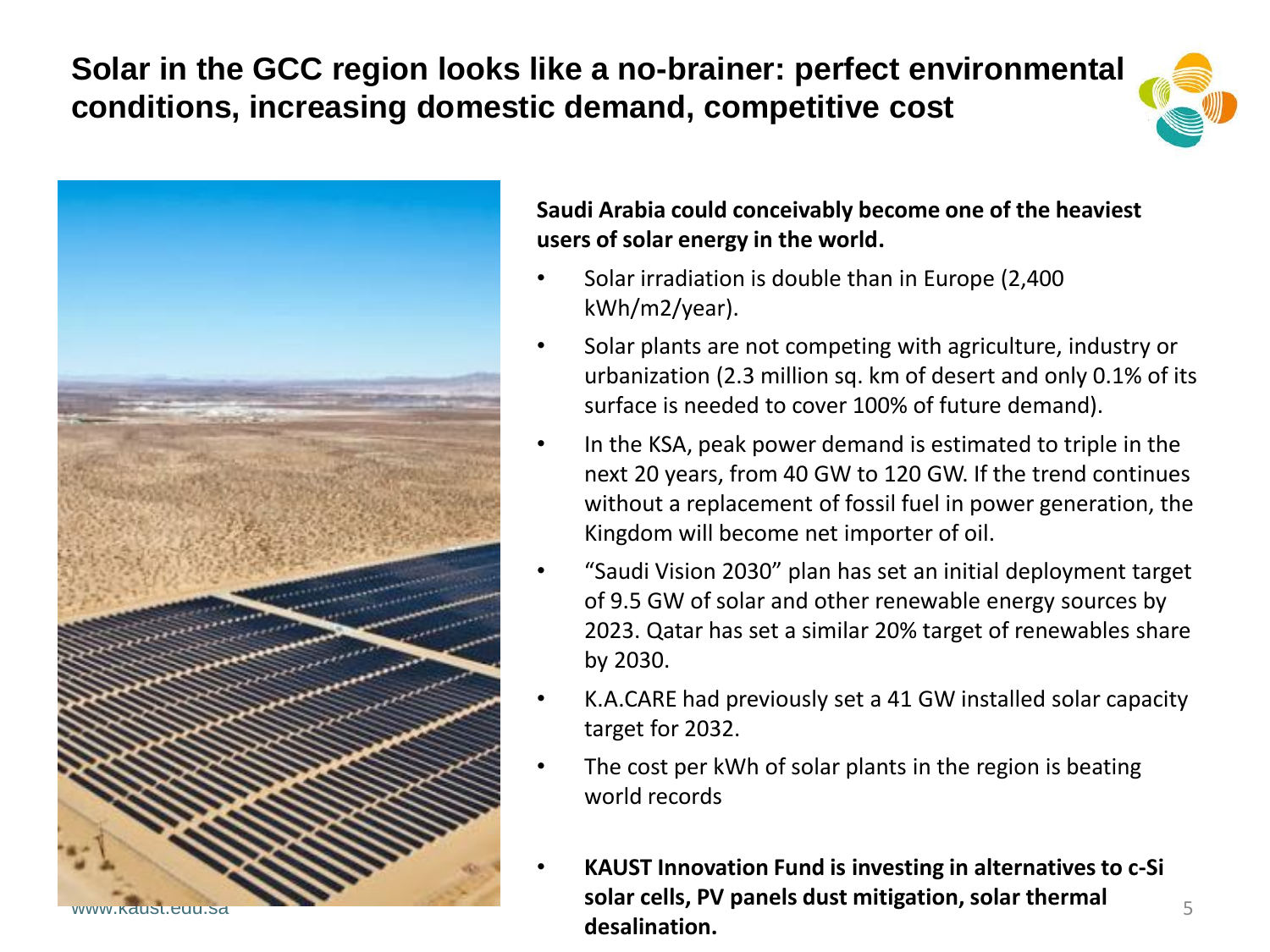**Solar in the GCC region looks like a no-brainer: perfect environmental conditions, increasing domestic demand, competitive cost**





**Saudi Arabia could conceivably become one of the heaviest users of solar energy in the world.**

- Solar irradiation is double than in Europe (2,400 kWh/m2/year).
- Solar plants are not competing with agriculture, industry or urbanization (2.3 million sq. km of desert and only 0.1% of its surface is needed to cover 100% of future demand).
- In the KSA, peak power demand is estimated to triple in the next 20 years, from 40 GW to 120 GW. If the trend continues without a replacement of fossil fuel in power generation, the Kingdom will become net importer of oil.
- "Saudi Vision 2030" plan has set an initial deployment target of 9.5 GW of solar and other renewable energy sources by 2023. Qatar has set a similar 20% target of renewables share by 2030.
- K.A.CARE had previously set a 41 GW installed solar capacity target for 2032.
- The cost per kWh of solar plants in the region is beating world records
- **KAUST Innovation Fund is investing in alternatives to c-Si solar cells, PV panels dust mitigation, solar thermal desalination.**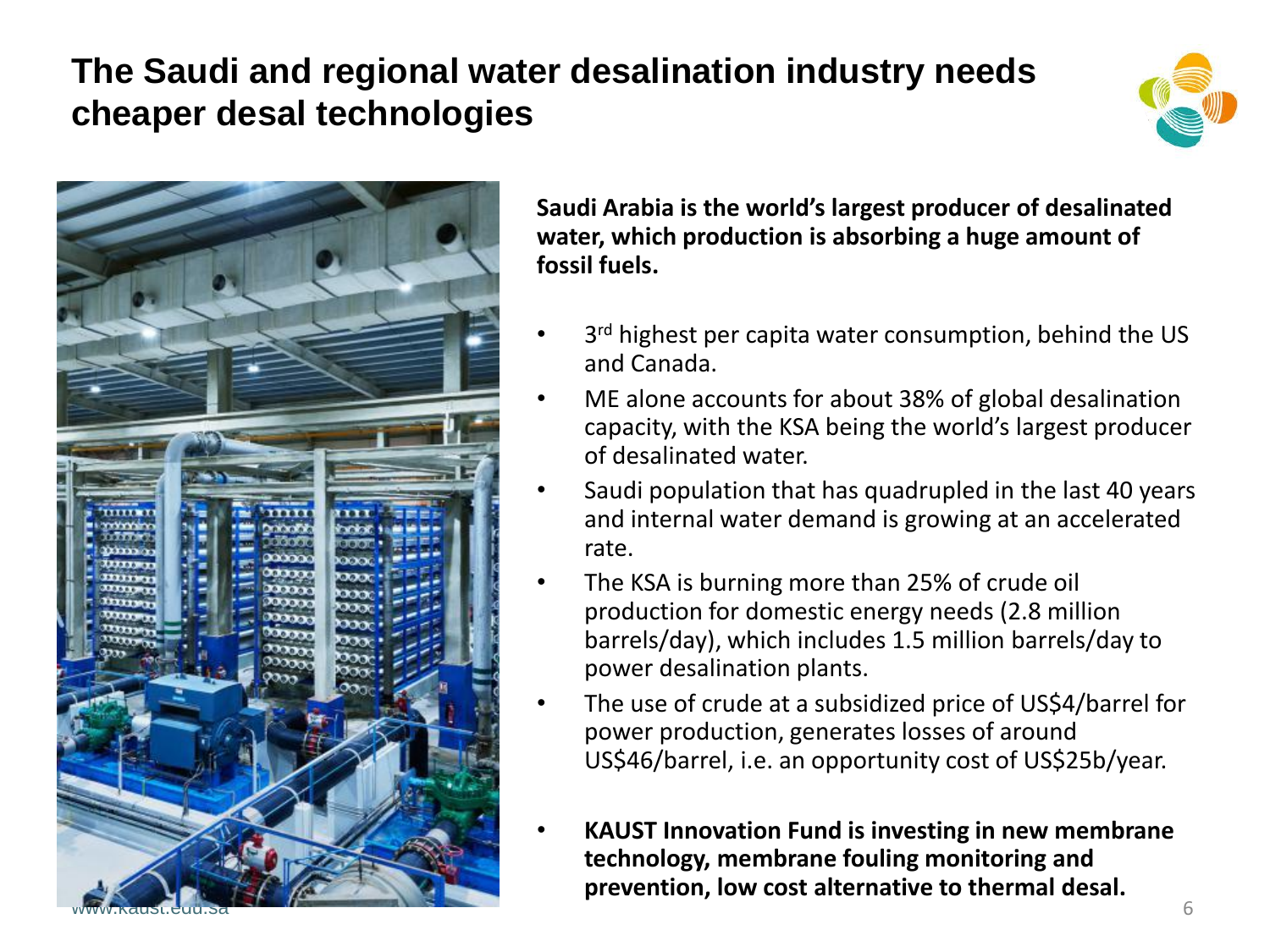# **The Saudi and regional water desalination industry needs cheaper desal technologies**





**Saudi Arabia is the world's largest producer of desalinated water, which production is absorbing a huge amount of fossil fuels.**

- 3<sup>rd</sup> highest per capita water consumption, behind the US and Canada.
- ME alone accounts for about 38% of global desalination capacity, with the KSA being the world's largest producer of desalinated water.
- Saudi population that has quadrupled in the last 40 years and internal water demand is growing at an accelerated rate.
- The KSA is burning more than 25% of crude oil production for domestic energy needs (2.8 million barrels/day), which includes 1.5 million barrels/day to power desalination plants.
- The use of crude at a subsidized price of US\$4/barrel for power production, generates losses of around US\$46/barrel, i.e. an opportunity cost of US\$25b/year.
- 6 • **KAUST Innovation Fund is investing in new membrane technology, membrane fouling monitoring and prevention, low cost alternative to thermal desal.**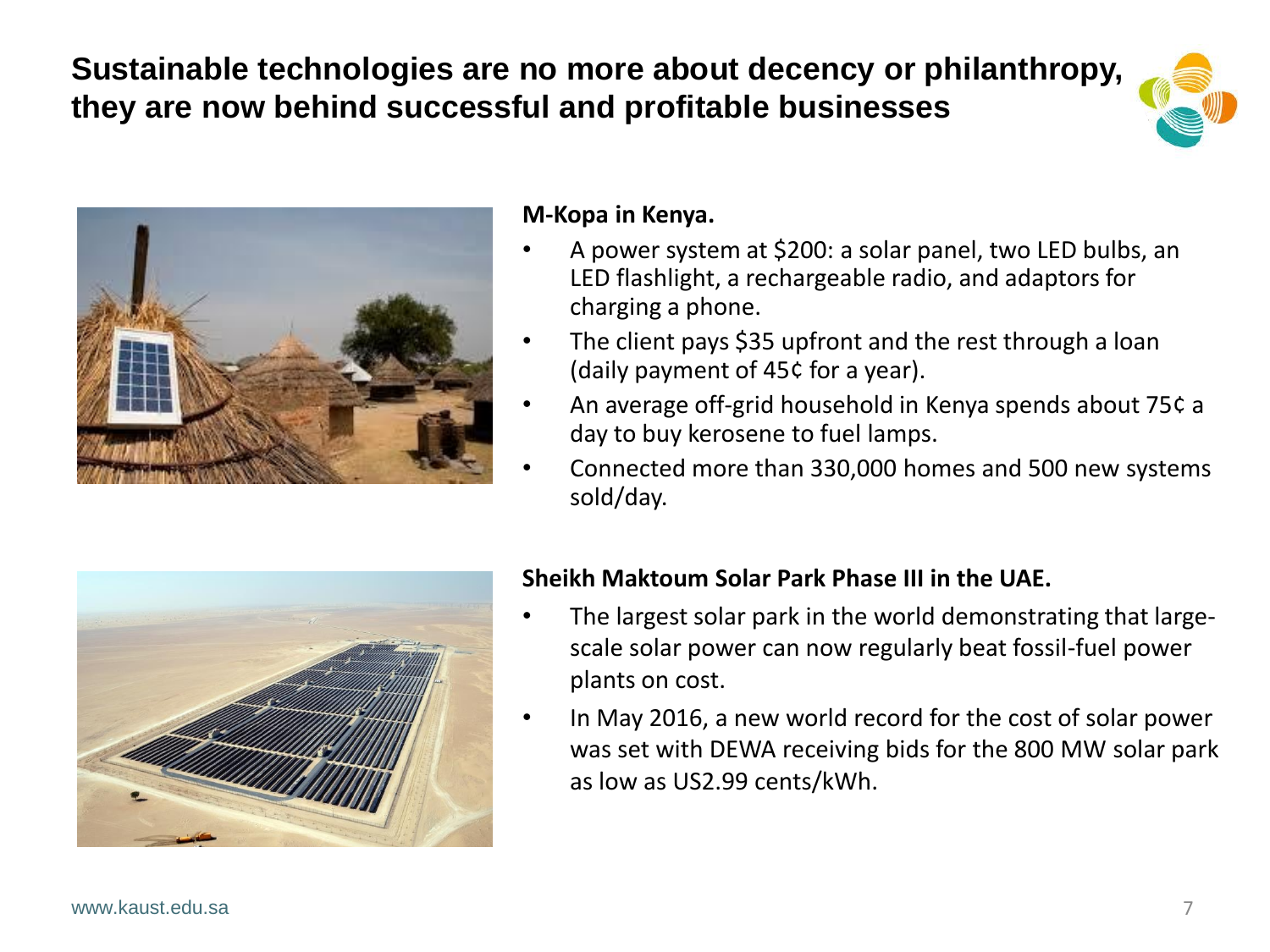**Sustainable technologies are no more about decency or philanthropy, they are now behind successful and profitable businesses**





#### **M-Kopa in Kenya.**

- A power system at \$200: a solar panel, two LED bulbs, an LED flashlight, a rechargeable radio, and adaptors for charging a phone.
- The client pays \$35 upfront and the rest through a loan (daily payment of 45¢ for a year).
- An average off-grid household in Kenya spends about 75¢ a day to buy kerosene to fuel lamps.
- Connected more than 330,000 homes and 500 new systems sold/day.



#### **Sheikh Maktoum Solar Park Phase III in the UAE.**

- The largest solar park in the world demonstrating that largescale solar power can now regularly beat fossil-fuel power plants on cost.
- In May 2016, a new world record for the cost of solar power was set with DEWA receiving bids for the 800 MW solar park as low as US2.99 cents/kWh.